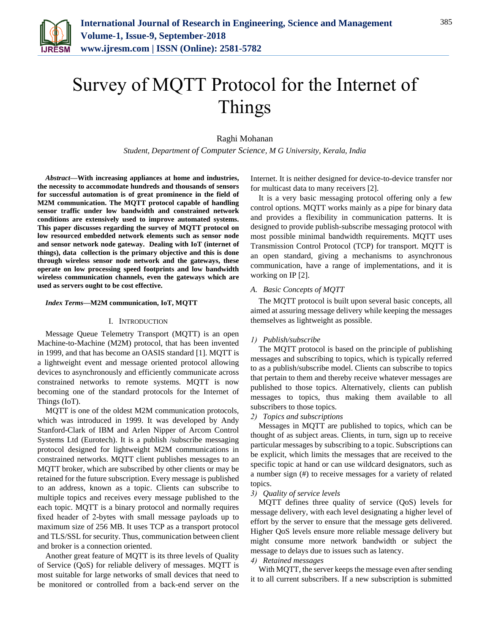

# Survey of MQTT Protocol for the Internet of Things

Raghi Mohanan

*Student, Department of Computer Science, M G University, Kerala, India*

*Abstract***—With increasing appliances at home and industries, the necessity to accommodate hundreds and thousands of sensors for successful automation is of great prominence in the field of M2M communication. The MQTT protocol capable of handling sensor traffic under low bandwidth and constrained network conditions are extensively used to improve automated systems. This paper discusses regarding the survey of MQTT protocol on low resourced embedded network elements such as sensor node and sensor network node gateway. Dealing with IoT (internet of things), data collection is the primary objective and this is done through wireless sensor node network and the gateways, these operate on low processing speed footprints and low bandwidth wireless communication channels, even the gateways which are used as servers ought to be cost effective.**

#### *Index Terms***—M2M communication, IoT, MQTT**

## I. INTRODUCTION

Message Queue Telemetry Transport (MQTT) is an open Machine-to-Machine (M2M) protocol, that has been invented in 1999, and that has become an OASIS standard [1]. MQTT is a lightweight event and message oriented protocol allowing devices to asynchronously and efficiently communicate across constrained networks to remote systems. MQTT is now becoming one of the standard protocols for the Internet of Things (IoT).

MQTT is one of the oldest M2M communication protocols, which was introduced in 1999. It was developed by Andy Stanford-Clark of IBM and Arlen Nipper of Arcom Control Systems Ltd (Eurotech). It is a publish /subscribe messaging protocol designed for lightweight M2M communications in constrained networks. MQTT client publishes messages to an MQTT broker, which are subscribed by other clients or may be retained for the future subscription. Every message is published to an address, known as a topic. Clients can subscribe to multiple topics and receives every message published to the each topic. MQTT is a binary protocol and normally requires fixed header of 2-bytes with small message payloads up to maximum size of 256 MB. It uses TCP as a transport protocol and TLS/SSL for security. Thus, communication between client and broker is a connection oriented.

Another great feature of MQTT is its three levels of Quality of Service (QoS) for reliable delivery of messages. MQTT is most suitable for large networks of small devices that need to be monitored or controlled from a back-end server on the

Internet. It is neither designed for device-to-device transfer nor for multicast data to many receivers [2].

It is a very basic messaging protocol offering only a few control options. MQTT works mainly as a pipe for binary data and provides a flexibility in communication patterns. It is designed to provide publish-subscribe messaging protocol with most possible minimal bandwidth requirements. MQTT uses Transmission Control Protocol (TCP) for transport. MQTT is an open standard, giving a mechanisms to asynchronous communication, have a range of implementations, and it is working on IP [2].

## *A. Basic Concepts of MQTT*

The MQTT protocol is built upon several basic concepts, all aimed at assuring message delivery while keeping the messages themselves as lightweight as possible.

#### *1) Publish/subscribe*

The MQTT protocol is based on the principle of publishing messages and subscribing to topics, which is typically referred to as a publish/subscribe model. Clients can subscribe to topics that pertain to them and thereby receive whatever messages are published to those topics. Alternatively, clients can publish messages to topics, thus making them available to all subscribers to those topics.

## *2) Topics and subscriptions*

Messages in MQTT are published to topics, which can be thought of as subject areas. Clients, in turn, sign up to receive particular messages by subscribing to a topic. Subscriptions can be explicit, which limits the messages that are received to the specific topic at hand or can use wildcard designators, such as a number sign (#) to receive messages for a variety of related topics.

## *3) Quality of service levels*

MQTT defines three quality of service (QoS) levels for message delivery, with each level designating a higher level of effort by the server to ensure that the message gets delivered. Higher QoS levels ensure more reliable message delivery but might consume more network bandwidth or subject the message to delays due to issues such as latency.

## *4) Retained messages*

With MQTT, the server keeps the message even after sending it to all current subscribers. If a new subscription is submitted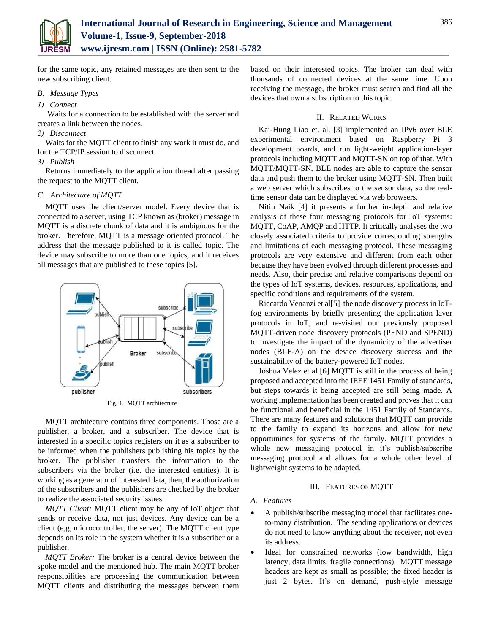

for the same topic, any retained messages are then sent to the new subscribing client.

## *B. Message Types*

# *1) Connect*

Waits for a connection to be established with the server and creates a link between the nodes.

# *2) Disconnect*

Waits for the MQTT client to finish any work it must do, and for the TCP/IP session to disconnect.

## *3) Publish*

Returns immediately to the application thread after passing the request to the MQTT client.

# *C. Architecture of MQTT*

MQTT uses the client/server model. Every device that is connected to a server, using TCP known as (broker) message in MQTT is a discrete chunk of data and it is ambiguous for the broker. Therefore, MQTT is a message oriented protocol. The address that the message published to it is called topic. The device may subscribe to more than one topics, and it receives all messages that are published to these topics [5].



Fig. 1. MQTT architecture

MQTT architecture contains three components. Those are a publisher, a broker, and a subscriber. The device that is interested in a specific topics registers on it as a subscriber to be informed when the publishers publishing his topics by the broker. The publisher transfers the information to the subscribers via the broker (i.e. the interested entities). It is working as a generator of interested data, then, the authorization of the subscribers and the publishers are checked by the broker to realize the associated security issues.

*MQTT Client:* MQTT client may be any of IoT object that sends or receive data, not just devices. Any device can be a client (e,g, microcontroller, the server). The MQTT client type depends on its role in the system whether it is a subscriber or a publisher.

*MQTT Broker:* The broker is a central device between the spoke model and the mentioned hub. The main MQTT broker responsibilities are processing the communication between MQTT clients and distributing the messages between them

based on their interested topics. The broker can deal with thousands of connected devices at the same time. Upon receiving the message, the broker must search and find all the devices that own a subscription to this topic.

## II. RELATED WORKS

Kai-Hung Liao et. al. [3] implemented an IPv6 over BLE experimental environment based on Raspberry Pi 3 development boards, and run light-weight application-layer protocols including MQTT and MQTT-SN on top of that. With MQTT/MQTT-SN, BLE nodes are able to capture the sensor data and push them to the broker using MQTT-SN. Then built a web server which subscribes to the sensor data, so the realtime sensor data can be displayed via web browsers.

Nitin Naik [4] it presents a further in-depth and relative analysis of these four messaging protocols for IoT systems: MQTT, CoAP, AMQP and HTTP. It critically analyses the two closely associated criteria to provide corresponding strengths and limitations of each messaging protocol. These messaging protocols are very extensive and different from each other because they have been evolved through different processes and needs. Also, their precise and relative comparisons depend on the types of IoT systems, devices, resources, applications, and specific conditions and requirements of the system.

Riccardo Venanzi et al[5] the node discovery process in IoTfog environments by briefly presenting the application layer protocols in IoT, and re-visited our previously proposed MQTT-driven node discovery protocols (PEND and SPEND) to investigate the impact of the dynamicity of the advertiser nodes (BLE-A) on the device discovery success and the sustainability of the battery-powered IoT nodes.

Joshua Velez et al [6] MQTT is still in the process of being proposed and accepted into the IEEE 1451 Family of standards, but steps towards it being accepted are still being made. A working implementation has been created and proves that it can be functional and beneficial in the 1451 Family of Standards. There are many features and solutions that MQTT can provide to the family to expand its horizons and allow for new opportunities for systems of the family. MQTT provides a whole new messaging protocol in it's publish/subscribe messaging protocol and allows for a whole other level of lightweight systems to be adapted.

# III. FEATURES OF MQTT

# *A. Features*

- A publish/subscribe messaging model that facilitates oneto-many distribution. The sending applications or devices do not need to know anything about the receiver, not even its address.
- Ideal for constrained networks (low bandwidth, high latency, data limits, fragile connections). MQTT message headers are kept as small as possible; the fixed header is just 2 bytes. It's on demand, push-style message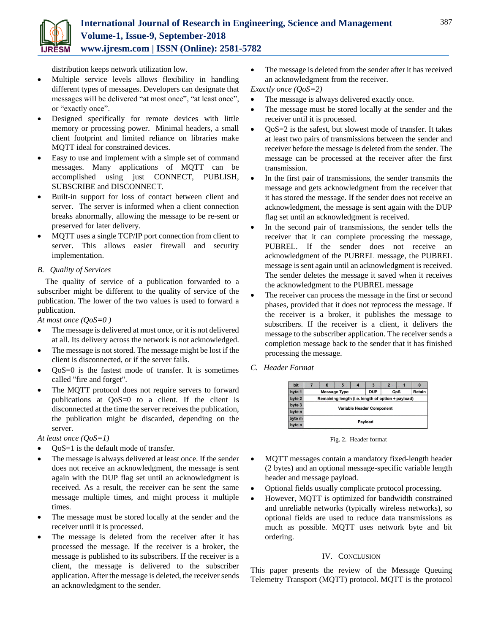

distribution keeps network utilization low.

- Multiple service levels allows flexibility in handling different types of messages. Developers can designate that messages will be delivered "at most once", "at least once", or "exactly once".
- Designed specifically for remote devices with little memory or processing power. Minimal headers, a small client footprint and limited reliance on libraries make MQTT ideal for constrained devices.
- Easy to use and implement with a simple set of command messages. Many applications of MQTT can be accomplished using just CONNECT, PUBLISH, SUBSCRIBE and DISCONNECT.
- Built-in support for loss of contact between client and server. The server is informed when a client connection breaks abnormally, allowing the message to be re-sent or preserved for later delivery.
- MQTT uses a single TCP/IP port connection from client to server. This allows easier firewall and security implementation.

# *B. Quality of Services*

The quality of service of a publication forwarded to a subscriber might be different to the quality of service of the publication. The lower of the two values is used to forward a publication.

*At most once (QoS=0 )*

- The message is delivered at most once, or it is not delivered at all. Its delivery across the network is not acknowledged.
- The message is not stored. The message might be lost if the client is disconnected, or if the server fails.
- QoS=0 is the fastest mode of transfer. It is sometimes called "fire and forget".
- The MQTT protocol does not require servers to forward publications at QoS=0 to a client. If the client is disconnected at the time the server receives the publication, the publication might be discarded, depending on the server.

*At least once (QoS=1)*

- QoS=1 is the default mode of transfer.
- The message is always delivered at least once. If the sender does not receive an acknowledgment, the message is sent again with the DUP flag set until an acknowledgment is received. As a result, the receiver can be sent the same message multiple times, and might process it multiple times.
- The message must be stored locally at the sender and the receiver until it is processed.
- The message is deleted from the receiver after it has processed the message. If the receiver is a broker, the message is published to its subscribers. If the receiver is a client, the message is delivered to the subscriber application. After the message is deleted, the receiver sends an acknowledgment to the sender.

• The message is deleted from the sender after it has received an acknowledgment from the receiver.

*Exactly once (QoS=2)*

- The message is always delivered exactly once.
- The message must be stored locally at the sender and the receiver until it is processed.
- $\bullet$  OoS=2 is the safest, but slowest mode of transfer. It takes at least two pairs of transmissions between the sender and receiver before the message is deleted from the sender. The message can be processed at the receiver after the first transmission.
- In the first pair of transmissions, the sender transmits the message and gets acknowledgment from the receiver that it has stored the message. If the sender does not receive an acknowledgment, the message is sent again with the DUP flag set until an acknowledgment is received.
- In the second pair of transmissions, the sender tells the receiver that it can complete processing the message, PUBREL. If the sender does not receive an acknowledgment of the PUBREL message, the PUBREL message is sent again until an acknowledgment is received. The sender deletes the message it saved when it receives the acknowledgment to the PUBREL message
- The receiver can process the message in the first or second phases, provided that it does not reprocess the message. If the receiver is a broker, it publishes the message to subscribers. If the receiver is a client, it delivers the message to the subscriber application. The receiver sends a completion message back to the sender that it has finished processing the message.
- *C. Header Format*



Fig. 2. Header format

- MQTT messages contain a mandatory fixed-length header (2 bytes) and an optional message-specific variable length header and message payload.
- Optional fields usually complicate protocol processing.
- However, MQTT is optimized for bandwidth constrained and unreliable networks (typically wireless networks), so optional fields are used to reduce data transmissions as much as possible. MQTT uses network byte and bit ordering.

# IV. CONCLUSION

This paper presents the review of the Message Queuing Telemetry Transport (MQTT) protocol. MQTT is the protocol